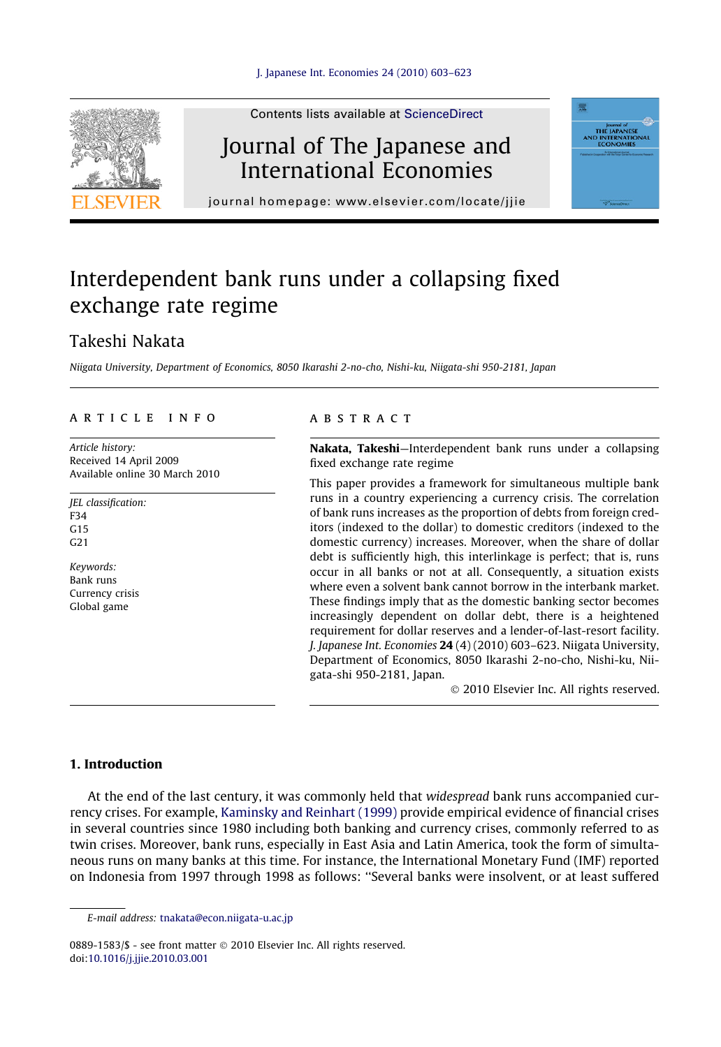

Contents lists available at [ScienceDirect](http://www.sciencedirect.com/science/journal/08891583)

# Journal of The Japanese and International Economies



journal homepage: [www.elsevier.com/locate/jjie](http://www.elsevier.com/locate/jjie)

# Interdependent bank runs under a collapsing fixed exchange rate regime

### Takeshi Nakata

Niigata University, Department of Economics, 8050 Ikarashi 2-no-cho, Nishi-ku, Niigata-shi 950-2181, Japan

#### article info

Article history: Received 14 April 2009 Available online 30 March 2010

JEL classification: F34  $C15$  $C<sub>21</sub>$ 

Keywords: Bank runs Currency crisis Global game

#### **ABSTRACT**

Nakata, Takeshi—Interdependent bank runs under a collapsing fixed exchange rate regime

This paper provides a framework for simultaneous multiple bank runs in a country experiencing a currency crisis. The correlation of bank runs increases as the proportion of debts from foreign creditors (indexed to the dollar) to domestic creditors (indexed to the domestic currency) increases. Moreover, when the share of dollar debt is sufficiently high, this interlinkage is perfect; that is, runs occur in all banks or not at all. Consequently, a situation exists where even a solvent bank cannot borrow in the interbank market. These findings imply that as the domestic banking sector becomes increasingly dependent on dollar debt, there is a heightened requirement for dollar reserves and a lender-of-last-resort facility. J. Japanese Int. Economies 24 (4) (2010) 603–623. Niigata University, Department of Economics, 8050 Ikarashi 2-no-cho, Nishi-ku, Niigata-shi 950-2181, Japan.

© 2010 Elsevier Inc. All rights reserved.

#### 1. Introduction

At the end of the last century, it was commonly held that widespread bank runs accompanied currency crises. For example, [Kaminsky and Reinhart \(1999\)](#page--1-0) provide empirical evidence of financial crises in several countries since 1980 including both banking and currency crises, commonly referred to as twin crises. Moreover, bank runs, especially in East Asia and Latin America, took the form of simultaneous runs on many banks at this time. For instance, the International Monetary Fund (IMF) reported on Indonesia from 1997 through 1998 as follows: ''Several banks were insolvent, or at least suffered

0889-1583/\$ - see front matter @ 2010 Elsevier Inc. All rights reserved. doi[:10.1016/j.jjie.2010.03.001](http://dx.doi.org/10.1016/j.jjie.2010.03.001)

E-mail address: [tnakata@econ.niigata-u.ac.jp](mailto:tnakata@econ.niigata-u.ac.jp)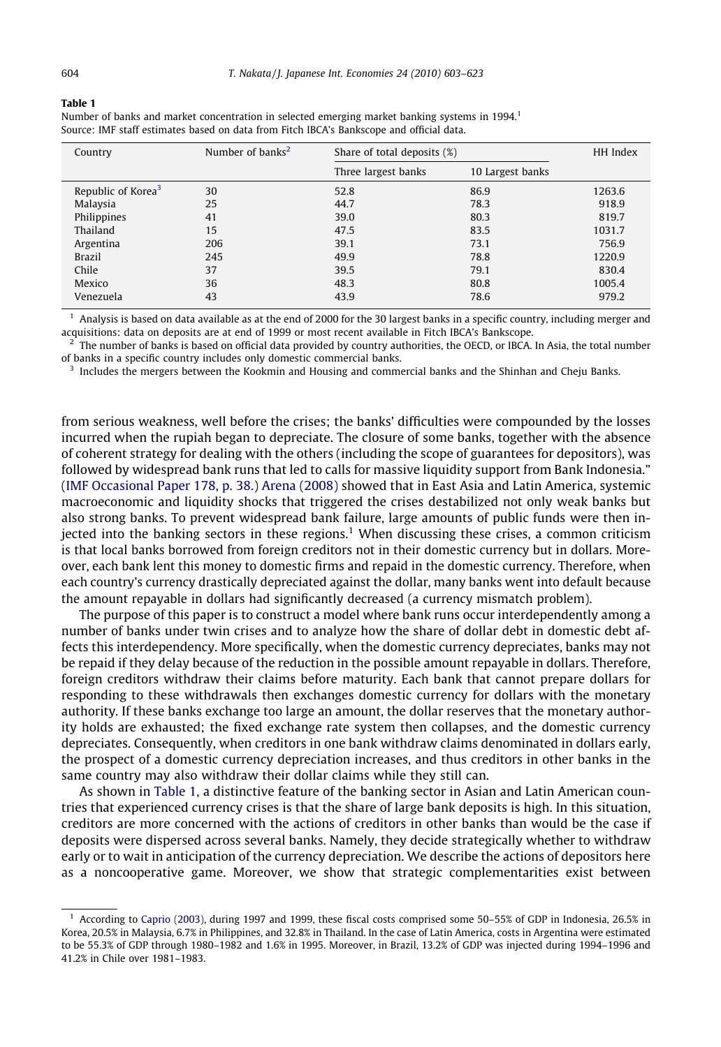| Country                        | Number of banks <sup>2</sup> | Share of total deposits (%) |                  | HH Index |
|--------------------------------|------------------------------|-----------------------------|------------------|----------|
|                                |                              | Three largest banks         | 10 Largest banks |          |
| Republic of Korea <sup>3</sup> | 30                           | 52.8                        | 86.9             | 1263.6   |
| Malaysia                       | 25                           | 44.7                        | 78.3             | 918.9    |
| Philippines                    | 41                           | 39.0                        | 80.3             | 819.7    |
| Thailand                       | 15                           | 47.5                        | 83.5             | 1031.7   |
| Argentina                      | 206                          | 39.1                        | 73.1             | 756.9    |
| <b>Brazil</b>                  | 245                          | 49.9                        | 78.8             | 1220.9   |
| Chile                          | 37                           | 39.5                        | 79.1             | 830.4    |
| Mexico                         | 36                           | 48.3                        | 80.8             | 1005.4   |
| Venezuela                      | 43                           | 43.9                        | 78.6             | 979.2    |

Number of banks and market concentration in selected emerging market banking systems in 1994.<sup>1</sup> Source: IMF staff estimates based on data from Fitch IBCA's Bankscope and official data.

<sup>1</sup> Analysis is based on data available as at the end of 2000 for the 30 largest banks in a specific country, including merger and acquisitions: data on deposits are at end of 1999 or most recent available in Fitch IBCA's Bankscope.

<sup>2</sup> The number of banks is based on official data provided by country authorities, the OECD, or IBCA. In Asia, the total number of banks in a specific country includes only domestic commercial banks.

<sup>3</sup> Includes the mergers between the Kookmin and Housing and commercial banks and the Shinhan and Cheju Banks.

from serious weakness, well before the crises; the banks' difficulties were compounded by the losses incurred when the rupiah began to depreciate. The closure of some banks, together with the absence of coherent strategy for dealing with the others (including the scope of guarantees for depositors), was followed by widespread bank runs that led to calls for massive liquidity support from Bank Indonesia." ([IMF Occasional Paper 178, p. 38.\)](#page--1-0) [Arena \(2008\)](#page--1-0) showed that in East Asia and Latin America, systemic macroeconomic and liquidity shocks that triggered the crises destabilized not only weak banks but also strong banks. To prevent widespread bank failure, large amounts of public funds were then injected into the banking sectors in these regions.<sup>1</sup> When discussing these crises, a common criticism is that local banks borrowed from foreign creditors not in their domestic currency but in dollars. Moreover, each bank lent this money to domestic firms and repaid in the domestic currency. Therefore, when each country's currency drastically depreciated against the dollar, many banks went into default because the amount repayable in dollars had significantly decreased (a currency mismatch problem).

The purpose of this paper is to construct a model where bank runs occur interdependently among a number of banks under twin crises and to analyze how the share of dollar debt in domestic debt affects this interdependency. More specifically, when the domestic currency depreciates, banks may not be repaid if they delay because of the reduction in the possible amount repayable in dollars. Therefore, foreign creditors withdraw their claims before maturity. Each bank that cannot prepare dollars for responding to these withdrawals then exchanges domestic currency for dollars with the monetary authority. If these banks exchange too large an amount, the dollar reserves that the monetary authority holds are exhausted; the fixed exchange rate system then collapses, and the domestic currency depreciates. Consequently, when creditors in one bank withdraw claims denominated in dollars early, the prospect of a domestic currency depreciation increases, and thus creditors in other banks in the same country may also withdraw their dollar claims while they still can.

As shown in Table 1, a distinctive feature of the banking sector in Asian and Latin American countries that experienced currency crises is that the share of large bank deposits is high. In this situation, creditors are more concerned with the actions of creditors in other banks than would be the case if deposits were dispersed across several banks. Namely, they decide strategically whether to withdraw early or to wait in anticipation of the currency depreciation. We describe the actions of depositors here as a noncooperative game. Moreover, we show that strategic complementarities exist between

Table 1

<sup>1</sup> According to [Caprio \(2003\)](#page--1-0), during 1997 and 1999, these fiscal costs comprised some 50–55% of GDP in Indonesia, 26.5% in Korea, 20.5% in Malaysia, 6.7% in Philippines, and 32.8% in Thailand. In the case of Latin America, costs in Argentina were estimated to be 55.3% of GDP through 1980–1982 and 1.6% in 1995. Moreover, in Brazil, 13.2% of GDP was injected during 1994–1996 and 41.2% in Chile over 1981–1983.